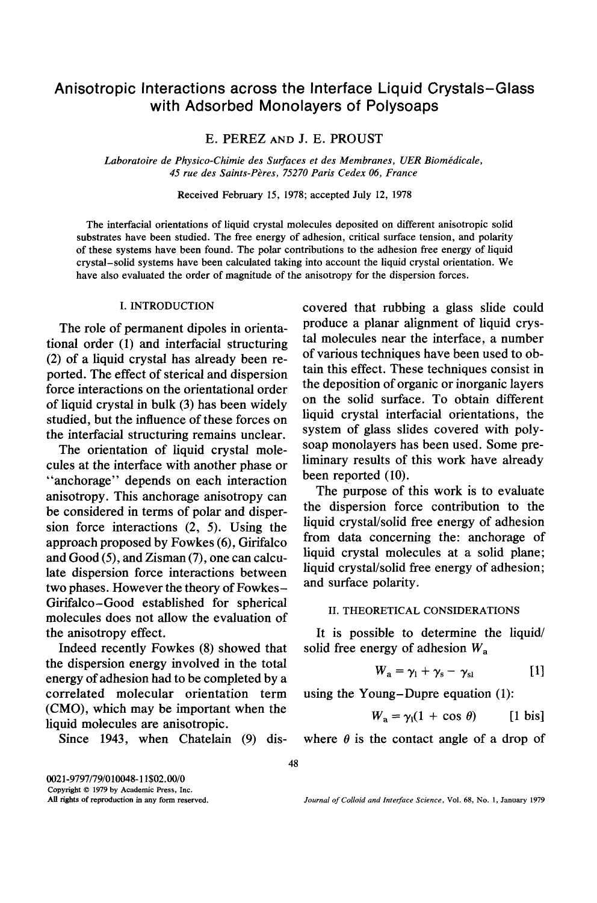# **Anisotropic Interactions across the Interface Liquid Crystals-Glass with Adsorbed Monolayers of Polysoaps**

E. PEREZ AND J. E. PROUST

Laboratoire de Physico-Chimie des Surfaces et des Membranes, UER Biomédicale, *45 rue des Saints-Pbres, 75270 Paris Cedex 06, France* 

Received February 15, 1978; accepted July 12, 1978

The interfacial orientations of liquid crystal molecules deposited on different anisotropic solid substrates have been studied. The free energy of adhesion, critical surface tension, and polarity of these systems have been found. The polar contributions to the adhesion free energy of liquid crystal-solid systems have been calculated taking into account the liquid crystal orientation. We have also evaluated the order of magnitude of the anisotropy for the dispersion forces.

## I. INTRODUCTION

The role of permanent dipoles in orientational order (1) and interfacial structuring (2) of a liquid crystal has already been reported. The effect of sterical and dispersion force interactions on the orientational order of liquid crystal in bulk (3) has been widely studied, but the influence of these forces on the interfacial structuring remains unclear.

The orientation of liquid crystal molecules at the interface with another phase or "anchorage" depends on each interaction anisotropy. This anchorage anisotropy can be considered in terms of polar and dispersion force interactions (2, 5). Using the approach proposed by Fowkes (6), Girifalco and Good (5), and Zisman (7), one can calculate dispersion force interactions between two phases. However the theory of Fowkes-Girifalco-Good established for spherical molecules does not allow the evaluation of the anisotropy effect.

Indeed recently Fowkes (8) showed that the dispersion energy involved in the total energy of adhesion had to be completed by a correlated molecular orientation term (CMO), which may be important when the liquid molecules are anisotropic.

Since 1943, when Chatelain (9) dis-

covered that rubbing a glass slide could produce a planar alignment of liquid crystal molecules near the interface, a number of various techniques have been used to obtain this effect. These techniques consist in the deposition of organic or inorganic layers on the solid surface. To obtain different liquid crystal interfacial orientations, the system of glass slides covered with polysoap monolayers has been used. Some preliminary results of this work have already been reported (10).

The purpose of this work is to evaluate the dispersion force contribution to the liquid crystal/solid free energy of adhesion from data concerning the: anchorage of liquid crystal molecules at a solid plane; liquid crystal/solid free energy of adhesion; and surface polarity.

### II. THEORETICAL CONSIDERATIONS

It is possible to determine the liquid/ solid free energy of adhesion  $W_a$ 

$$
W_{\rm a} = \gamma_{\rm l} + \gamma_{\rm s} - \gamma_{\rm sl} \qquad [1]
$$

using the Young-Dupre equation (1):

$$
W_{\rm a} = \gamma_{\rm l}(1 + \cos \theta) \qquad \text{[1 bis]}
$$

where  $\theta$  is the contact angle of a drop of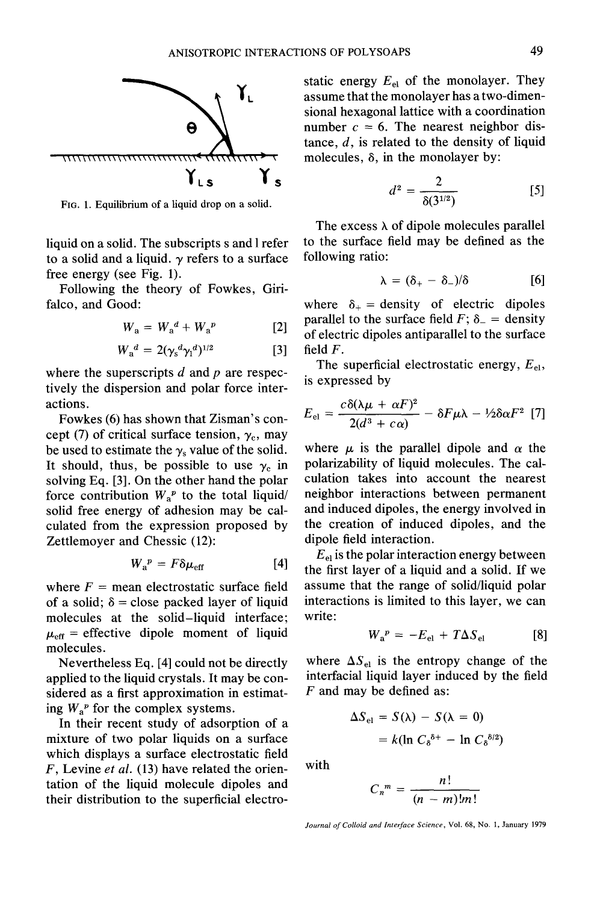

FIG. 1. Equilibrium of a liquid drop on a solid.

liquid on a solid. The subscripts s and 1 refer to a solid and a liquid.  $\gamma$  refers to a surface free energy (see Fig. 1).

Following the theory of Fowkes, Girifalco, and Good:

$$
W_{\mathbf{a}} = W_{\mathbf{a}}^d + W_{\mathbf{a}}^p \tag{2}
$$

$$
W_{a}{}^{d} = 2(\gamma_{s}{}^{d}\gamma_{1}{}^{d})^{1/2} \tag{3}
$$

where the superscripts  $d$  and  $p$  are respectively the dispersion and polar force interactions.

Fowkes (6) has shown that Zisman's concept (7) of critical surface tension,  $\gamma_c$ , may be used to estimate the  $\gamma_s$  value of the solid. It should, thus, be possible to use  $\gamma_c$  in solving Eq. [3]. On the other hand the polar force contribution  $W_a^p$  to the total liquid/ solid free energy of adhesion may be calculated from the expression proposed by Zettlemoyer and Chessic (12):

$$
W_{\rm a}{}^p = F \delta \mu_{\rm eff} \tag{4}
$$

where  $F =$  mean electrostatic surface field of a solid;  $\delta$  = close packed layer of liquid molecules at the solid-liquid interface;  $\mu_{\text{eff}}$  = effective dipole moment of liquid molecules.

Nevertheless Eq. [4] could not be directly applied to the liquid crystals. It may be considered as a first approximation in estimating  $W_a^p$  for the complex systems.

In their recent study of adsorption of a mixture of two polar liquids on a surface which displays a surface electrostatic field F, Levine *et al.* (13) have related the orientation of the liquid molecule dipoles and their distribution to the superficial electrostatic energy  $E_{el}$  of the monolayer. They assume that the monolayer has a two-dimensional hexagonal lattice with a coordination number  $c = 6$ . The nearest neighbor distance,  $d$ , is related to the density of liquid molecules,  $\delta$ , in the monolayer by:

$$
d^2 = \frac{2}{\delta(3^{1/2})} \tag{5}
$$

The excess  $\lambda$  of dipole molecules parallel to the surface field may be defined as the following ratio:

$$
\lambda = (\delta_+ - \delta_-)/\delta \qquad [6]
$$

where  $\delta_+$  = density of electric dipoles parallel to the surface field  $F$ ;  $\delta$  = density of electric dipoles antiparallel to the surface field F.

The superficial electrostatic energy,  $E_{el}$ , is expressed by

$$
E_{\rm el} = \frac{c \delta(\lambda \mu + \alpha F)^2}{2(d^3 + c \alpha)} - \delta F \mu \lambda - 1/2 \delta \alpha F^2
$$
 [7]

where  $\mu$  is the parallel dipole and  $\alpha$  the polarizability of liquid molecules. The calculation takes into account the nearest neighbor interactions between permanent and induced dipoles, the energy involved in the creation of induced dipoles, and the dipole field interaction.

 $E<sub>el</sub>$  is the polar interaction energy between the first layer of a liquid and a solid. If we assume that the range of solid/liquid polar interactions is limited to this layer, we can write:

$$
W_{\mathbf{a}}^{\ P} = -E_{\mathbf{e}1} + T\Delta S_{\mathbf{e}1} \tag{8}
$$

where  $\Delta S_{el}$  is the entropy change of the interfacial liquid layer induced by the field F and may be defined as:

$$
\Delta S_{\text{el}} = S(\lambda) - S(\lambda = 0)
$$
  
=  $k(\ln C_{\delta}^{\delta+} - \ln C_{\delta}^{\delta/2})$ 

with

$$
C_n^m = \frac{n!}{(n-m)!m!}
$$

*Journal of Colloid and Interface Science,* Vol. 68, No. 1, January 1979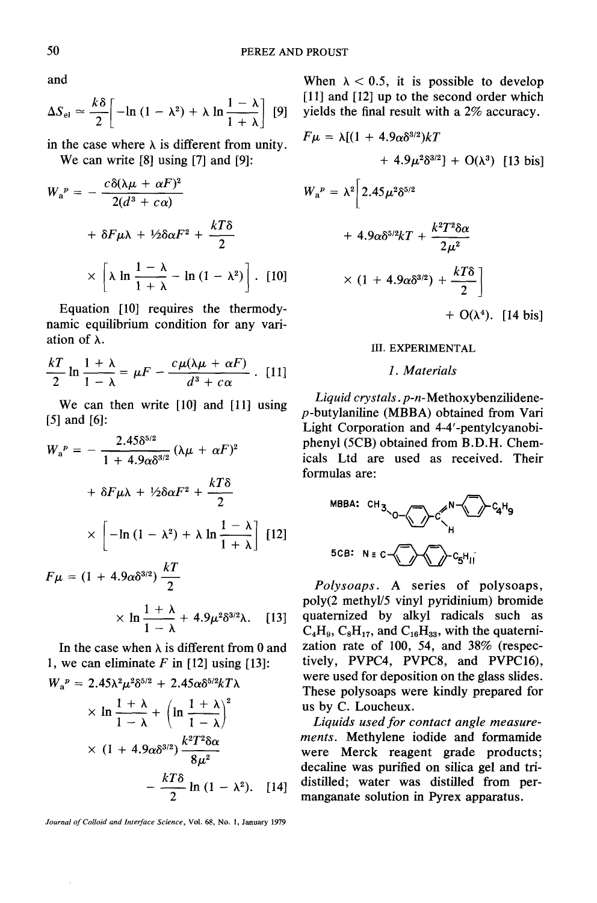and

$$
\Delta S_{\rm el} \simeq \frac{k\delta}{2} \bigg[ -\ln\left(1-\lambda^2\right) + \lambda \ln\frac{1-\lambda}{1+\lambda} \bigg] \tag{9}
$$

in the case where  $\lambda$  is different from unity. We can write [8] using [7] and [9]:

$$
W_{a}^{p} = -\frac{c\delta(\lambda\mu + \alpha F)^{2}}{2(d^{3} + c\alpha)}
$$
  
+  $\delta F \mu \lambda + 1/2 \delta \alpha F^{2} + \frac{kT\delta}{2}$   
 $\times \left[ \lambda \ln \frac{1 - \lambda}{1 + \lambda} - \ln (1 - \lambda^{2}) \right].$  [10]

Equation [10] requires the thermodynamic equilibrium condition for any variation of  $\lambda$ .

$$
\frac{kT}{2}\ln\frac{1+\lambda}{1-\lambda}=\mu F-\frac{c\mu(\lambda\mu+\alpha F)}{d^3+c\alpha}.
$$
 [11]

We can then write [10] and [11] using [5] and [6]:

$$
W_{a}^{p} = -\frac{2.45\delta^{5/2}}{1 + 4.9\alpha\delta^{3/2}} (\lambda\mu + \alpha F)^{2}
$$

$$
+ \delta F \mu\lambda + \frac{1}{2}\delta\alpha F^{2} + \frac{kT\delta}{2}
$$

$$
\times \left[ -\ln(1 - \lambda^{2}) + \lambda \ln\frac{1 - \lambda}{1 + \lambda} \right] [12]
$$

$$
F\mu = (1 + 4.9\alpha\delta^{3/2}) \frac{kT}{2}
$$

$$
\times \ln \frac{1+\lambda}{1-\lambda} + 4.9\mu^2 \delta^{3/2} \lambda. \quad [13]
$$

In the case when  $\lambda$  is different from 0 and 1, we can eliminate  $F$  in [12] using [13]:

$$
W_{a}^{p} = 2.45\lambda^{2} \mu^{2} \delta^{5/2} + 2.45\alpha \delta^{5/2} k T \lambda
$$
  
 
$$
\times \ln \frac{1 + \lambda}{1 - \lambda} + \left(\ln \frac{1 + \lambda}{1 - \lambda}\right)^{2}
$$
  
 
$$
\times (1 + 4.9\alpha \delta^{3/2}) \frac{k^{2} T^{2} \delta \alpha}{8\mu^{2}}
$$
  
 
$$
- \frac{k T \delta}{2} \ln (1 - \lambda^{2}). \quad [14]
$$

*Journal of Colloid and Interface Science,* Vol, 68, No, 1, January 1979

When  $\lambda < 0.5$ , it is possible to develop [11] and [12] up to the second order which yields the final result with a 2% accuracy.

$$
F\mu = \lambda [(1 + 4.9\alpha \delta^{3/2})kT + 4.9\mu^2 \delta^{3/2}] + O(\lambda^3)
$$
 [13 bis]

$$
W_{a}^{p} = \lambda^{2} \left[ 2.45 \mu^{2} \delta^{5/2} + 4.9 \alpha \delta^{5/2} kT + \frac{k^{2} T^{2} \delta \alpha}{2 \mu^{2}} \times (1 + 4.9 \alpha \delta^{3/2}) + \frac{k T \delta}{2} \right] + O(\lambda^{4}).
$$
 [14 bis]

#### **III.** EXPERIMENTAL

## *1. Materials*

*Liquid crystals,* p-n-Methoxybenzilidenep-butylaniline (MBBA) obtained from Vari Light Corporation and 4-4'-pentylcyanobiphenyl (5CB) obtained from B.D.H. Chemicals Ltd are used as received. Their formulas are:



*Polysoaps.* A series of polysoaps, poly(2 methyl/5 vinyl pyridinium) bromide quaternized by alkyl radicals such as  $C_4H_9$ ,  $C_8H_{17}$ , and  $C_{16}H_{33}$ , with the quaternization rate of 100, 54, and 38% (respectively, PVPC4, PVPC8, and PVPC16), were used for deposition on the glass slides. These polysoaps were kindly prepared for us by C. Loucheux.

*Liquids used for contact angle measurements.* Methylene iodide and formamide were Merck reagent grade products; decaline was purified on silica gel and tridistilled; water was distilled from permanganate solution in Pyrex apparatus.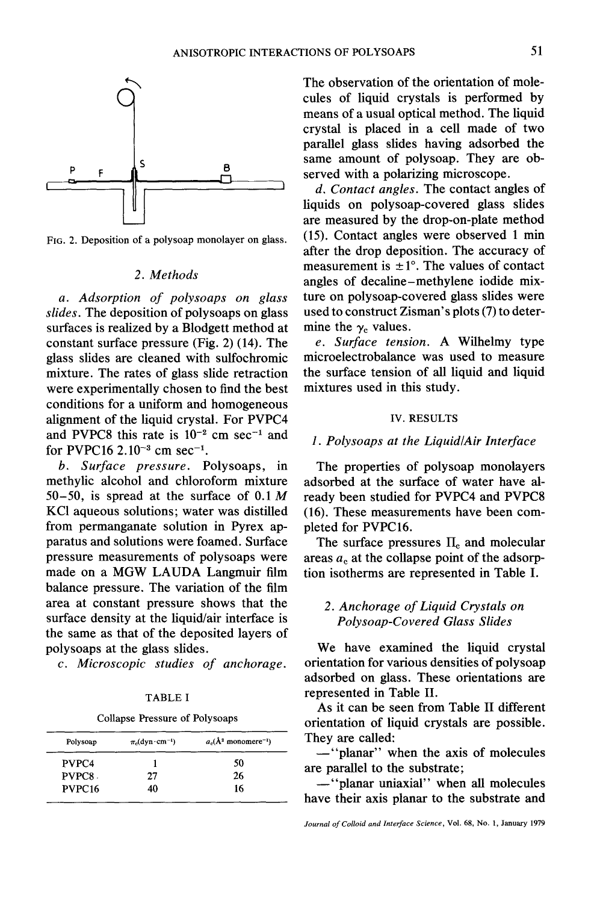

FIG. 2. Deposition of a polysoap monolayer on glass.

### *2. Methods*

*a. Adsorption of polysoaps on glass slides.* The deposition of polysoaps on glass surfaces is realized by a Blodgett method at constant surface pressure (Fig. 2) (14). The glass slides are cleaned with sulfochromic mixture. The rates of glass slide retraction were experimentally chosen to find the best conditions for a uniform and homogeneous alignment of the liquid crystal. For PVPC4 and PVPC8 this rate is  $10^{-2}$  cm sec<sup>-1</sup> and for PVPC16  $2.10^{-3}$  cm sec<sup>-1</sup>.

*b. Surface pressure.* Polysoaps, in methylic alcohol and chloroform mixture 50-50, is spread at the surface of 0.1  $M$ KCI aqueous solutions; water was distilled from permanganate solution in Pyrex apparatus and solutions were foamed. Surface pressure measurements of polysoaps were made on a MGW LAUDA Langmuir film balance pressure. The variation of the film area at constant pressure shows that the surface density at the liquid/air interface is the same as that of the deposited layers of polysoaps at the glass slides.

*c. Microscopic studies of anchorage.* 

|--|--|--|--|--|

| Collapse Pressure of Polysoaps |  |  |
|--------------------------------|--|--|
|--------------------------------|--|--|

| Polysoap           | $\pi_c(\text{dyn}\cdot\text{cm}^{-1})$ | $a_c(\text{\AA}^2 \text{ monomere}^{-1})$ |
|--------------------|----------------------------------------|-------------------------------------------|
| PVPC4              |                                        | 50                                        |
| PVPC8.             | 27                                     | 26                                        |
| PVPC <sub>16</sub> | 40                                     | 16                                        |

The observation of the orientation of molecules of liquid crystals is performed by means of a usual optical method. The liquid crystal is placed in a cell made of two parallel glass slides having adsorbed the same amount of polysoap. They are observed with a polarizing microscope.

*d. Contact angles.* The contact angles of liquids on polysoap-covered glass slides are measured by the drop-on-plate method (15). Contact angles were observed 1 min after the drop deposition. The accuracy of measurement is  $\pm 1^{\circ}$ . The values of contact angles of decaline-methylene iodide mixture on polysoap-covered glass slides were used to construct Zisman's plots (7) to determine the  $\gamma_c$  values.

*e. Surface tension.* A Wilhelmy type microelectrobalance was used to measure the surface tension of all liquid and liquid mixtures used in this study.

#### IV. RESULTS

## 1. Polysoaps at the Liquid/Air Interface

The properties of polysoap monolayers adsorbed at the surface of water have already been studied for PVPC4 and PVPC8 (16). These measurements have been completed for PVPC16.

The surface pressures  $\Pi_c$  and molecular areas  $a<sub>c</sub>$  at the collapse point of the adsorption isotherms are represented in Table I.

## *2. Anchorage of Liquid Crystals on Polysoap-Covered Glass Slides*

We have examined the liquid crystal orientation for various densities of polysoap adsorbed on glass. These orientations are represented in Table II.

As it can be seen from Table II different orientation of liquid crystals are possible. They are called:

--"planar" when the axis of molecules are parallel to the substrate;

-"planar uniaxial" when all molecules have their axis planar to the substrate and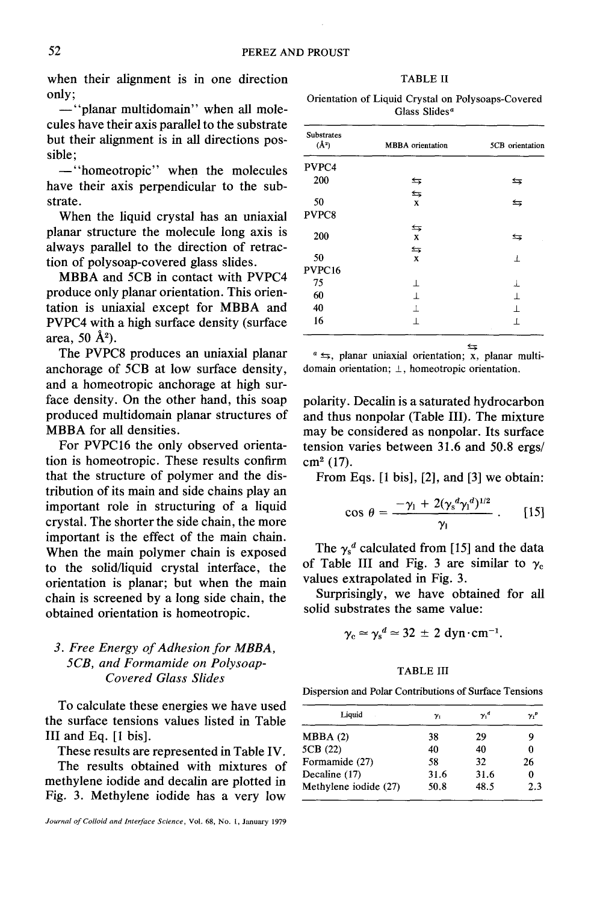when their alignment is in one direction only;

**--"planar** multidomain" when all molecules have their axis parallel to the substrate but their alignment is in all directions possible;

--"homeotropic" when the molecules have their axis perpendicular to the substrate.

When the liquid crystal has an uniaxial planar structure the molecule long axis is always parallel to the direction of retraction of polysoap-covered glass slides.

*MBBA* and 5CB in contact with PVPC4 produce only planar orientation. This orientation is uniaxial except for MBBA and PVPC4 with a high surface density (surface area, 50  $\AA^2$ ).

The PVPC8 produces an uniaxial planar anchorage of 5CB at low surface density, and a homeotropic anchorage at high surface density. On the other hand, this soap produced multidomain planar structures of MBBA for all densities.

For PVPC16 the only observed orientation is homeotropic. These results confirm that the structure of polymer and the distribution of its main and side chains play an important role in structuring of a liquid crystal. The shorter the side chain, the more important is the effect of the main chain. When the main polymer chain is exposed to the solid/liquid crystal interface, the orientation is planar; but when the main chain is screened by a long side chain, the obtained orientation is homeotropic.

## *3. Free Energy of Adhesion for MBBA, 5CB, and Formamide on Polysoap-Covered Glass Slides*

To calculate these energies we have used the surface tensions values listed in Table III and Eq. [1 bis].

These results are represented in Table IV.

The results obtained with mixtures of methylene iodide and decalin are plotted in Fig. 3. Methylene iodide has a very low

### TABLE II

Orientation of Liquid Crystal on Polysoaps-Covered Glass Slides<sup>a</sup>

| Substrates<br>$(\AA^2)$ | <b>MBBA</b> orientation | 5CB orientation |
|-------------------------|-------------------------|-----------------|
| PVPC4                   |                         |                 |
| 200                     | ⇆                       | ⇆               |
| 50                      | ⇆<br>X                  | ⇆               |
| PVPC8                   |                         |                 |
| 200                     | ⇆<br>X                  | ⇆               |
| 50                      | ⇆<br>$\mathbf x$        | $\pm$           |
| PVPC16                  |                         |                 |
| 75                      | ⊥                       | $\perp$         |
| 60                      | 工                       | $\perp$         |
| 40                      | T                       | $\bot$          |
| 16                      | $\mathbf{I}$            | $\perp$         |
|                         |                         |                 |

 $a \Leftrightarrow$ , planar uniaxial orientation; x, planar multidomain orientation; ±, homeotropic orientation.  $\leftarrow$ 

polarity. Decalin is a saturated hydrocarbon and thus nonpolar (Table III). The mixture may be considered as nonpolar. Its surface tension varies between 31.6 and 50.8 ergs/  $cm<sup>2</sup>$  (17).

From Eqs. [1 bis], [2], and [3] we obtain:

$$
\cos \theta = \frac{-\gamma_1 + 2(\gamma_s^d \gamma_1^d)^{1/2}}{\gamma_1} \ . \qquad [15]
$$

The  $\gamma_s^d$  calculated from [15] and the data of Table III and Fig. 3 are similar to  $\gamma_c$ values extrapolated in Fig. 3.

Surprisingly, we have obtained for all solid substrates the same value:

$$
\gamma_{\rm c} \simeq \gamma_{\rm s}^{\ d} \simeq 32 \ \pm \ 2 \ \text{dyn} \cdot \text{cm}^{-1}.
$$

#### TABLE III

Dispersion and Polar Contributions of Surface Tensions

| Liquid                | $\gamma_{1}$ | $\gamma$ <sup>d</sup> | γ, <sup>p</sup> |
|-----------------------|--------------|-----------------------|-----------------|
| MBBA(2)               | 38           | 29                    |                 |
| 5CB (22)              | 40           | 40                    | o               |
| Formamide (27)        | 58           | 32                    | 26              |
| Decaline (17)         | 31.6         | 31.6                  | 0               |
| Methylene iodide (27) | 50.8         | 48.5                  | 2.3             |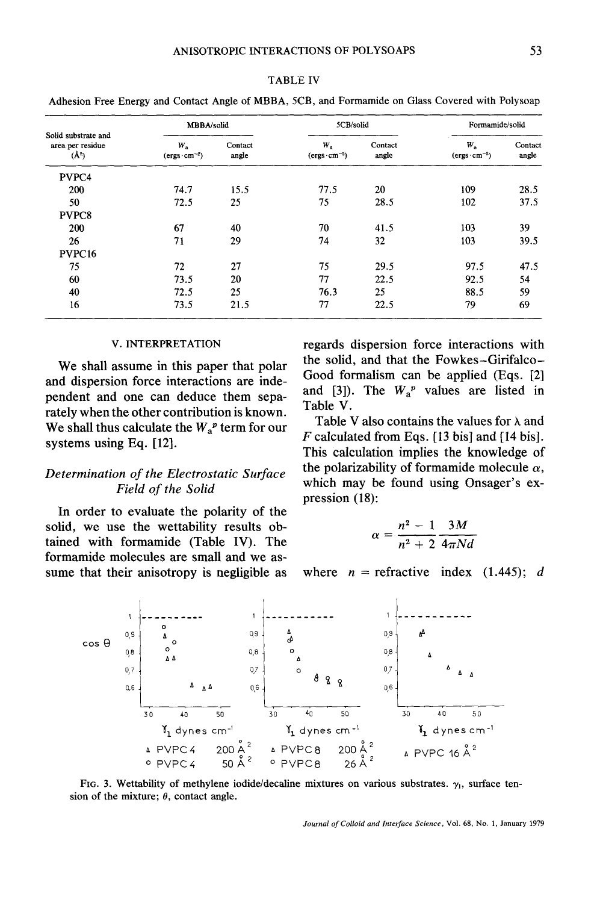|                                                               |                              | MBBA/solid       |                              | 5CB/solid        | Formamide/solid                       |                  |  |
|---------------------------------------------------------------|------------------------------|------------------|------------------------------|------------------|---------------------------------------|------------------|--|
| Solid substrate and<br>area per residue<br>$(\mathbf{\AA}^2)$ | W,<br>$(ergs \cdot cm^{-2})$ | Contact<br>angle | W,<br>$(ergs \cdot cm^{-2})$ | Contact<br>angle | $W_{\rm a}$<br>$(ergs \cdot cm^{-2})$ | Contact<br>angle |  |
| PVPC4                                                         |                              |                  |                              |                  |                                       |                  |  |
| 200                                                           | 74.7                         | 15.5             | 77.5                         | 20               | 109                                   | 28.5             |  |
| 50                                                            | 72.5                         | 25               | 75                           | 28.5             | 102                                   | 37.5             |  |
| PVPC8                                                         |                              |                  |                              |                  |                                       |                  |  |
| 200                                                           | 67                           | 40               | 70                           | 41.5             | 103                                   | 39               |  |
| 26                                                            | 71                           | 29               | 74                           | 32               | 103                                   | 39.5             |  |
| PVPC <sub>16</sub>                                            |                              |                  |                              |                  |                                       |                  |  |
| 75                                                            | 72                           | 27               | 75                           | 29.5             | 97.5                                  | 47.5             |  |
| 60                                                            | 73.5                         | 20               | 77                           | 22.5             | 92.5                                  | 54               |  |
| 40                                                            | 72.5                         | 25               | 76.3                         | 25               | 88.5                                  | 59               |  |
| 16                                                            | 73.5                         | 21.5             | 77                           | 22.5             | 79                                    | 69               |  |

Adhesion Free Energy and Contact Angle of MBBA, 5CB, and Formamide on Glass Covered with Polysoap

#### V. INTERPRETATION

We shall assume in this paper that polar and dispersion force interactions are independent and one can deduce them separately when the other contribution is known. We shall thus calculate the  $W_a^p$  term for our systems using Eq. [12].

## *Determination of the Electrostatic Surface Field of the Solid*

In order to evaluate the polarity of the solid, we use the wettability results obtained with formamide (Table IV). The formamide molecules are small and we assume that their anisotropy is negligible as

regards dispersion force interactions with the solid, and that the Fowkes-Girifalco-Good formalism can be applied (Eqs. [2] and [3]). The  $W_a^p$  values are listed in Table V.

Table V also contains the values for  $\lambda$  and  $F$  calculated from Eqs. [13 bis] and [14 bis]. This calculation implies the knowledge of the polarizability of formamide molecule  $\alpha$ , which may be found using Onsager's expression (18):

$$
\alpha = \frac{n^2 - 1}{n^2 + 2} \frac{3M}{4\pi Nd}
$$

where  $n =$  refractive index (1.445); d



FIG. 3. Wettability of methylene iodide/decaline mixtures on various substrates.  $\gamma_1$ , surface tension of the mixture;  $\theta$ , contact angle.

*Journal of Colloid and Interface Science,* Vol, 68, No. 1, January 1979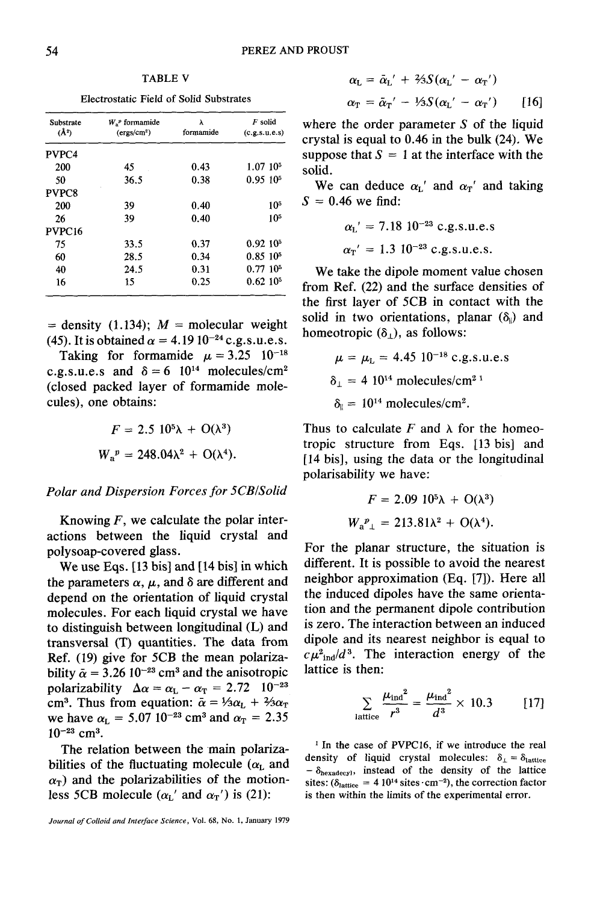TABLE V

Electrostatic Field of Solid Substrates

| Substrate<br>$(\AA^2)$ | $W_{n}$ <sup>p</sup> formamide<br>(ergs/cm <sup>2</sup> ) | λ<br>formamide | $F$ solid<br>(c.g.s.u.e.s) |  |  |
|------------------------|-----------------------------------------------------------|----------------|----------------------------|--|--|
| PVPC4                  |                                                           |                |                            |  |  |
| 200                    | 45                                                        | 0.43           | 1.07 10 <sup>5</sup>       |  |  |
| 50                     | 36.5                                                      | 0.38           | 0.9510 <sup>5</sup>        |  |  |
| PVPC8                  |                                                           |                |                            |  |  |
| 200                    | 39                                                        | 0.40           | 10 <sup>5</sup>            |  |  |
| 26                     | 39                                                        | 0.40           | 105                        |  |  |
| PVPC <sub>16</sub>     |                                                           |                |                            |  |  |
| 75                     | 33.5                                                      | 0.37           | 0.9210 <sup>5</sup>        |  |  |
| 60                     | 28.5                                                      | 0.34           | 0.85, 10 <sup>5</sup>      |  |  |
| 40                     | 24.5                                                      | 0.31           | 0.7710 <sup>5</sup>        |  |  |
| 16                     | 15                                                        | 0.25           | 0.62~10 <sup>5</sup>       |  |  |

= density (1.134);  $M$  = molecular weight (45). It is obtained  $\alpha = 4.19 10^{-24}$  c.g.s.u.e.s.

Taking for formamide  $\mu = 3.25 \cdot 10^{-18}$ c.g.s.u.e.s and  $\delta = 6$  10<sup>14</sup> molecules/cm<sup>2</sup> (closed packed layer of formamide molecules), one obtains:

$$
F = 2.5 \ 10^5 \lambda + \mathcal{O}(\lambda^3)
$$
  

$$
W_{\mathbf{a}}^p = 248.04 \lambda^2 + \mathcal{O}(\lambda^4).
$$

## *Polar and Dispersion Forces for 5CB/Solid*

Knowing  $F$ , we calculate the polar interactions between the liquid crystal and polysoap-covered glass.

We use Eqs. [13 bis] and [14 bis] in which the parameters  $\alpha$ ,  $\mu$ , and  $\delta$  are different and depend on the orientation of liquid crystal molecules. For each liquid crystal we have to distinguish between longitudinal (L) and transversal (T) quantities. The data from Ref. (19) give for 5CB the mean polarizability  $\bar{\alpha}$  = 3.26 10<sup>-23</sup> cm<sup>3</sup> and the anisotropic polarizability  $\Delta \alpha = \alpha_L - \alpha_T = 2.72 \quad 10^{-23}$ cm<sup>3</sup>. Thus from equation:  $\bar{\alpha} = \frac{1}{3}\alpha_L + \frac{2}{3}\alpha_T$ we have  $\alpha_{\rm L} = 5.07 \, 10^{-23} \, \text{cm}^3$  and  $\alpha_{\rm T} = 2.35$  $10^{-23}$  cm<sup>3</sup>.

The relation between the main polarizabilities of the fluctuating molecule  $(\alpha_L$  and  $\alpha$ <sub>T</sub>) and the polarizabilities of the motionless 5CB molecule  $(\alpha_L'$  and  $\alpha_T'$ ) is (21):

$$
\alpha_{\rm L} = \bar{\alpha}_{\rm L}' + \frac{2}{3}S(\alpha_{\rm L}' - \alpha_{\rm T}')
$$
  

$$
\alpha_{\rm T} = \bar{\alpha}_{\rm T}' - \frac{1}{3}S(\alpha_{\rm L}' - \alpha_{\rm T}') \qquad [16]
$$

where the order parameter  $S$  of the liquid crystal is equal to 0.46 in the bulk (24). We suppose that  $S = 1$  at the interface with the solid.

We can deduce  $\alpha_L'$  and  $\alpha_T'$  and taking  $S = 0.46$  we find:

$$
\alpha_{\rm L}^{\prime} = 7.18 \ 10^{-23} \ \text{c.g.s.u.e.s}
$$

$$
\alpha_{\rm T}^{\prime} = 1.3 \ 10^{-23} \ \text{c.g.s.u.e.s.}
$$

We take the dipole moment value chosen from Ref. (22) and the surface densities of the first layer of 5CB in contact with the solid in two orientations, planar  $(\delta_{\theta})$  and homeotropic  $(\delta_{\perp})$ , as follows:

$$
\mu = \mu_L = 4.45 \, 10^{-18} \, \text{c.g.s.u.e.s}
$$
  
\n $\delta_{\perp} = 4 \, 10^{14} \, \text{molecules/cm}^{2} \, \text{m}$   
\n $\delta_{\parallel} = 10^{14} \, \text{molecules/cm}^{2}.$ 

Thus to calculate F and  $\lambda$  for the homeotropic structure from Eqs. [13 bis] and [14 bis], using the data or the longitudinal polarisability we have:

$$
F = 2.09 \ 10^5 \lambda + O(\lambda^3)
$$
  

$$
W_a{}^p{}_{\perp} = 213.81 \lambda^2 + O(\lambda^4).
$$

For the planar structure, the situation is different. It is possible to avoid the nearest neighbor approximation (Eq. [7]). Here all the induced dipoles have the same orientation and the permanent dipole contribution is zero. The interaction between an induced dipole and its nearest neighbor is equal to  $c\mu^2$ <sub>ind</sub>/d<sup>3</sup>. The interaction energy of the lattice is then:

$$
\sum_{\text{lattice}} \frac{\mu_{\text{ind}}^2}{r^3} = \frac{\mu_{\text{ind}}^2}{d^3} \times 10.3 \quad [17]
$$

<sup>1</sup> In the case of PVPC16, if we introduce the real density of liquid crystal molecules:  $\delta_{\perp} = \delta_{\text{lattice}}$  $-\delta_{\text{hexadecyl}}$ , instead of the density of the lattice sites:  $(\delta_{\text{lattice}} = 4 10^{14} \text{ sites} \cdot \text{cm}^{-2})$ , the correction factor is then within the limits of the experimental error.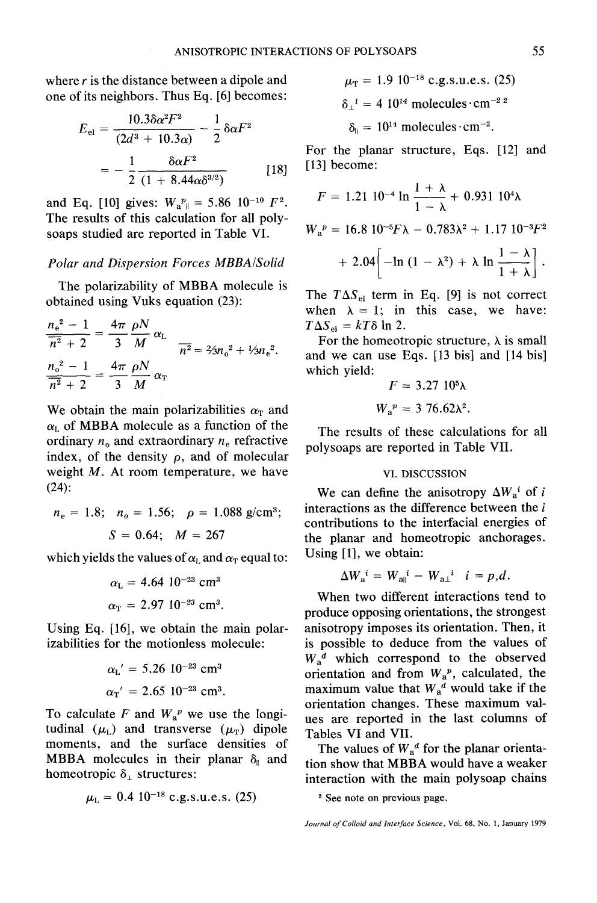where  $r$  is the distance between a dipole and one of its neighbors. Thus Eq. [6] becomes:

$$
E_{\rm el} = \frac{10.3\delta\alpha^2 F^2}{(2d^3 + 10.3\alpha)} - \frac{1}{2}\delta\alpha F^2
$$
  
= 
$$
-\frac{1}{2}\frac{\delta\alpha F^2}{(1 + 8.44\alpha\delta^{3/2})}
$$
 [18]

and Eq. [10] gives:  $W_a^p = 5.86 \; 10^{-10} \; F^2$ . The results of this calculation for all polysoaps studied are reported in Table VI.

## *Polar and Dispersion Forces MBBA/Solid*

The polarizability of MBBA molecule is obtained using Vuks equation (23):

$$
\frac{n_e^2 - 1}{n^2 + 2} = \frac{4\pi}{3} \frac{\rho N}{M} \alpha_L
$$
  

$$
\frac{n_o^2 - 1}{n^2 + 2} = \frac{4\pi}{3} \frac{\rho N}{M} \alpha_T
$$
  

$$
\frac{n_o^2 - 1}{n^2 + 2} = \frac{4\pi}{3} \frac{\rho N}{M} \alpha_T
$$

We obtain the main polarizabilities  $\alpha_T$  and  $\alpha_L$  of MBBA molecule as a function of the ordinary  $n_0$  and extraordinary  $n_e$  refractive index, of the density  $\rho$ , and of molecular weight  $M$ . At room temperature, we have (24):

$$
n_e = 1.8;
$$
  $n_o = 1.56;$   $\rho = 1.088 \text{ g/cm}^3;$   
 $S = 0.64;$   $M = 267$ 

which yields the values of  $\alpha_L$  and  $\alpha_T$  equal to:

$$
\alpha_{\rm L} = 4.64 \ 10^{-23} \ \text{cm}^3
$$
\n
$$
\alpha_{\rm T} = 2.97 \ 10^{-23} \ \text{cm}^3.
$$

Using Eq. [16], we obtain the main polarizabilities for the motionless molecule:

$$
\alpha_{\rm L}^{\prime} = 5.26 \ 10^{-23} \ \rm cm^3
$$
  

$$
\alpha_{\rm T}^{\prime} = 2.65 \ 10^{-23} \ \rm cm^3.
$$

To calculate F and  $W_a^p$  we use the longitudinal  $(\mu_L)$  and transverse  $(\mu_T)$  dipole moments, and the surface densities of MBBA molecules in their planar  $\delta_{\parallel}$  and homeotropic  $\delta_{\perp}$  structures:

$$
\mu_{\rm L}=0.4\ 10^{-18}\ \text{c.g.s.u.e.s.}\ (25)
$$

$$
\mu_{\rm T} = 1.9 \, 10^{-18} \, \text{c.g.s.u.e.s.} \, (25)
$$
\n $\delta_{\perp}^2 = 4 \, 10^{14} \, \text{molecules} \cdot \text{cm}^{-2} \, \text{cm}^2$ \n $\delta_{\parallel} = 10^{14} \, \text{molecules} \cdot \text{cm}^{-2}$ .

For the planar structure, Eqs. [12] and [13] become:

$$
F = 1.21 \ 10^{-4} \ln \frac{1 + \lambda}{1 - \lambda} + 0.931 \ 10^{4} \lambda
$$
  

$$
W_{a}^{p} = 16.8 \ 10^{-5} F \lambda - 0.783 \lambda^{2} + 1.17 \ 10^{-3} F^{2}
$$

$$
+ 2.04 \left[ -\ln (1 - \lambda^{2}) + \lambda \ln \frac{1 - \lambda}{1 + \lambda} \right].
$$

The  $T\Delta S_{el}$  term in Eq. [9] is not correct when  $\lambda = 1$ ; in this case, we have:  $T\Delta S_{\text{el}} = kT\delta \ln 2.$ 

For the homeotropic structure,  $\lambda$  is small and we can use Eqs. [13 bis] and [14 bis] which yield:

$$
F = 3.27 \ 10^5 \lambda
$$

$$
W_a{}^p = 3 \ 76.62 \lambda^2.
$$

The results of these calculations for all polysoaps are reported in Table VII.

### vI. DISCUSSION

We can define the anisotropy  $\Delta W_a^i$  of i interactions as the difference between the  $i$ contributions to the interfacial energies of the planar and homeotropic anchorages. Using [1], we obtain:

$$
\Delta W_{\mathbf{a}}^i = W_{\mathbf{a}\mathbf{I}}^i - W_{\mathbf{a}\mathbf{I}}^i \quad i = p, d.
$$

When two different interactions tend to produce opposing orientations, the strongest anisotropy imposes its orientation. Then, it is possible to deduce from the values of  $W_a^d$  which correspond to the observed orientation and from  $W_a^p$ , calculated, the maximum value that  $W_a^d$  would take if the orientation changes. These maximum values are reported in the last columns of Tables VI and VII.

The values of  $W_a^d$  for the planar orientation show that MBBA would have a weaker interaction with the main polysoap chains

<sup>2</sup> See note on previous page.

*Journal of Colloid and Interface Science,* Vol. 68, No. 1, January 1979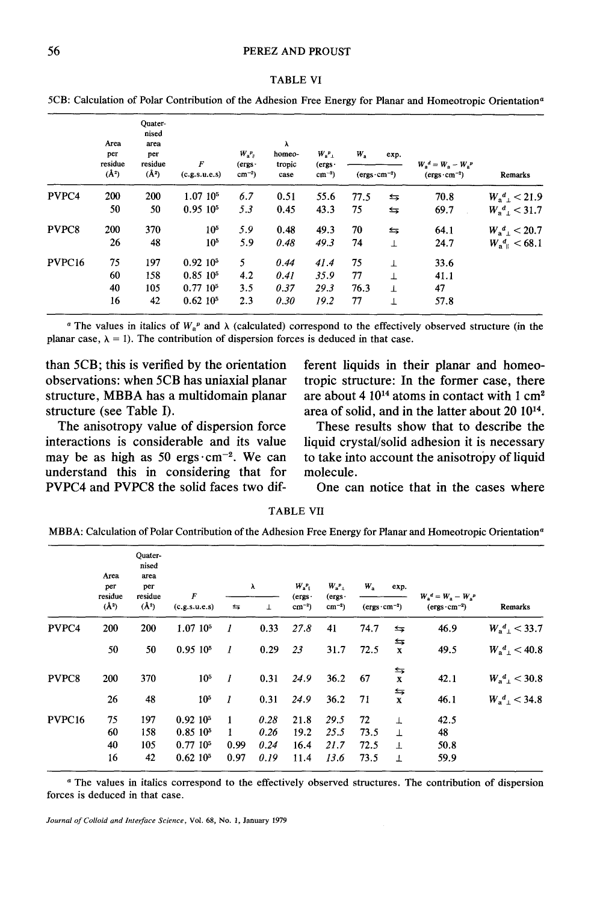#### TABLE V1

5CB: Calculation of Polar Contribution of the Adhesion Free Energy for Planar and Homeotropic Orientation<sup>a</sup>

|                    | Area<br>per<br>residue | Quater-<br>nised<br>area<br>per<br>residue<br>$(\AA^2)$ | F                                    | $W_a{}^p_{\perp}$<br>$(ergs -$ | λ<br>homeo-<br>tropic | $W_a{}^p_{\perp}$<br>(ergs · | $W_{\rm a}$ | exp.                               | $W_a^d = W_a - W_a^p$ |                        |
|--------------------|------------------------|---------------------------------------------------------|--------------------------------------|--------------------------------|-----------------------|------------------------------|-------------|------------------------------------|-----------------------|------------------------|
|                    | $(\AA^2)$              |                                                         | $cm^{-2}$ )<br>(c.g.s.u.e.s)<br>case |                                | $cm^{-2}$ )           | $(ergs \cdot cm^{-2})$       |             | $(\text{ergs}\cdot\text{cm}^{-2})$ | Remarks               |                        |
| PVPC4              | <b>200</b>             | 200                                                     | 1.07 10 <sup>5</sup>                 | 6.7                            | 0.51                  | 55.6                         | 77.5        | ⇆                                  | 70.8                  | $W_a{}^d_1$ < 21.9     |
|                    | 50                     | 50                                                      | $0.9510^{5}$                         | 5.3                            | 0.45                  | 43.3                         | 75          | ⇆                                  | 69.7                  | $W_{\rm g}^d$ , < 31.7 |
| PVPC8              | 200                    | 370                                                     | 10 <sup>5</sup>                      | 5.9                            | 0.48                  | 49.3                         | 70          | ⇆                                  | 64.1                  | $W_a{}^d$ < 20.7       |
|                    | 26                     | 48                                                      | 10 <sup>5</sup>                      | 5.9                            | 0.48                  | 49.3                         | 74          | T                                  | 24.7                  | $W_a^d$ < 68.1         |
| PVPC <sub>16</sub> | 75                     | 197                                                     | $0.92~10^5$                          | 5                              | 0.44                  | 41.4                         | 75          | Τ                                  | 33.6                  |                        |
|                    | 60                     | 158                                                     | $0.8510^{5}$                         | 4.2                            | 0.41                  | 35.9                         | 77          |                                    | 41.1                  |                        |
|                    | 40                     | 105                                                     | $0.7710^{5}$                         | 3.5                            | 0.37                  | 29.3                         | 76.3        | $\perp$                            | 47                    |                        |
|                    | 16                     | 42                                                      | $0.62~10^{5}$                        | 2.3                            | 0.30                  | 19.2                         | 77          |                                    | 57.8                  |                        |

<sup>*a*</sup> The values in italics of  $W_a^p$  and  $\lambda$  (calculated) correspond to the effectively observed structure (in the planar case,  $\lambda = 1$ ). The contribution of dispersion forces is deduced in that case.

**than 5CB; this is verified by the orientation observations: when 5CB has uniaxial planar structure, MBBA has a multidomain planar structure (see Table I).** 

**The anisotropy value of dispersion force interactions is considerable and its value**  may be as high as 50  $ergs \cdot cm^{-2}$ . We can **understand this in considering that for PVPC4 and PVPC8 the solid faces two dif-** **ferent liquids in their planar and homeotropic structure: In the former case, there are about 4 1014 atoms in contact with 1 cm 2 area of solid, and in the latter about 20 1014 .** 

**These results show that to describe the liquid crystal/solid adhesion it is necessary to take into account the anisotropy of liquid molecule.** 

**One can notice that in the cases where** 

| TABLE VII |  |
|-----------|--|
|           |  |

**MBBA:** Calculation of Polar Contribution of the Adhesion Free Energy for Planar and Homeotropic Orientation a

|                    | Area<br>per<br>residue<br>$(\mathbf{A}^2)$ | Quater-<br>nised<br>area<br>рег<br>residue<br>$(\mathring{A}^2)$ | F<br>(c.g.s.u.e.s)   | ⇆    | λ<br>T | $W_{\mathbf{a}}{}^{\mathbf{p}}$<br>(ergs-<br>$cm^{-2}$ ) | $W_{\rm a}{}^p{}_1$<br>(ergs.<br>$cm^{-2}$ ) | W,<br>$(ergs \cdot cm^{-2})$ | exp.                      | $W_{\rm a}{}^d = W_{\rm a} - W_{\rm a}{}^p$<br>$(ergs \cdot cm^{-2})$ | Remarks                        |
|--------------------|--------------------------------------------|------------------------------------------------------------------|----------------------|------|--------|----------------------------------------------------------|----------------------------------------------|------------------------------|---------------------------|-----------------------------------------------------------------------|--------------------------------|
|                    |                                            |                                                                  |                      |      |        |                                                          |                                              |                              |                           |                                                                       |                                |
| PVPC4              | 200                                        | 200                                                              | 1.0710 <sup>5</sup>  | 1    | 0.33   | 27.8                                                     | 41                                           | 74.7                         | ⇆                         | 46.9                                                                  | $W_a{}^d$ , < 33.7             |
|                    | 50                                         | 50                                                               | 0.95105              | 1    | 0.29   | 23                                                       | 31.7                                         | 72.5                         | $\frac{1}{x}$             | 49.5                                                                  | $W_{\rm a}{}^d_{\rm b}$ < 40.8 |
| PVPC8              | 200                                        | 370                                                              | 10 <sup>5</sup>      | 1    | 0.31   | 24.9                                                     | 36.2                                         | 67                           | $\overline{\overline{x}}$ | 42.1                                                                  | $W_a{}^d{}_i$ < 30.8           |
|                    | 26                                         | 48                                                               | 10 <sup>5</sup>      | 1    | 0.31   | 24.9                                                     | 36.2                                         | 71                           | $\Rightarrow$ x           | 46.1                                                                  | $W_a{}^d$ < 34.8               |
| PVPC <sub>16</sub> | 75                                         | 197                                                              | 0.9210 <sup>5</sup>  | 1    | 0.28   | 21.8                                                     | 29.5                                         | 72                           | 丄                         | 42.5                                                                  |                                |
|                    | 60                                         | 158                                                              | $0.85~10^{5}$        | 1    | 0.26   | 19.2                                                     | 25.5                                         | 73.5                         | 丄                         | 48                                                                    |                                |
|                    | 40                                         | 105                                                              | $0.7710^{5}$         | 0.99 | 0.24   | 16.4                                                     | 21.7                                         | 72.5                         | Τ                         | 50.8                                                                  |                                |
|                    | 16                                         | 42                                                               | 0.62~10 <sup>5</sup> | 0.97 | 0.19   | 11.4                                                     | 13.6                                         | 73.5                         | $\perp$                   | 59.9                                                                  |                                |

a The values in italics correspond to the effectively observed structures. The contribution of dispersion forces is deduced in that case.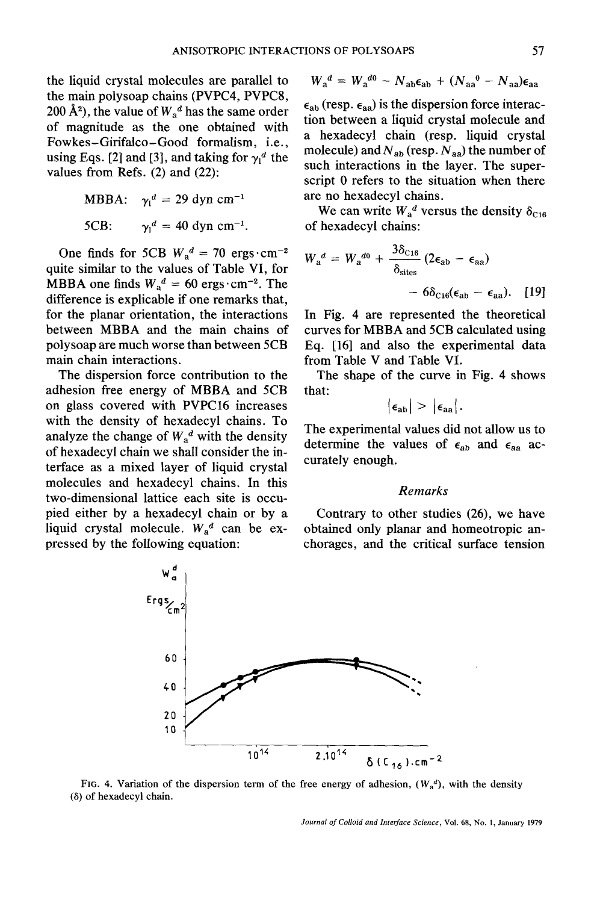the liquid crystal molecules are parallel to the main polysoap chains (PVPC4, PVPC8, 200 Å<sup>2</sup>), the value of  $W_a^d$  has the same order of magnitude as the one obtained with Fowkes-Girifalco-Good formalism, i.e., using Eqs. [2] and [3], and taking for  $y_1^d$  the values from Refs. (2) and (22):

MBBA: 
$$
\gamma_1^d = 29 \text{ dyn cm}^{-1}
$$
  
5CB:  $\gamma_1^d = 40 \text{ dyn cm}^{-1}$ .

One finds for 5CB  $W_a^d = 70$  ergs  $\cdot$  cm<sup>-2</sup> quite similar to the values of Table VI, for MBBA one finds  $W_a^d = 60$  ergs $\cdot$  cm<sup>-2</sup>. The difference is explicable if one remarks that, for the planar orientation, the interactions between MBBA and the main chains of polysoap are much worse than between 5CB main chain interactions.

The dispersion force contribution to the adhesion free energy of MBBA and 5CB on glass covered with PVPC16 increases with the density of hexadecyl chains. To analyze the change of  $W_a^d$  with the density of hexadecyl chain we shall consider the interface as a mixed layer of liquid crystal molecules and hexadecyl chains. In this two-dimensional lattice each site is occupied either by a hexadecyl chain or by a liquid crystal molecule.  $W_a^d$  can be expressed by the following equation:

$$
W_a^d = W_a^{d0} - N_{ab} \epsilon_{ab} + (N_{aa}^0 - N_{aa}) \epsilon_{aa}
$$

 $\epsilon_{ab}$  (resp.  $\epsilon_{aa}$ ) is the dispersion force interaction between a liquid crystal molecule and a hexadecyl chain (resp. liquid crystal molecule) and  $N_{ab}$  (resp.  $N_{aa}$ ) the number of such interactions in the layer. The superscript 0 refers to the situation when there are no hexadecyl chains.

We can write  $W_a^d$  versus the density  $\delta_{C16}$ of hexadecyl chains:

$$
W_a^d = W_a^{d0} + \frac{3\delta_{C16}}{\delta_{\text{sites}}} (2\epsilon_{ab} - \epsilon_{aa})
$$

$$
- 6\delta_{C16}(\epsilon_{ab} - \epsilon_{aa}). \quad [19]
$$

In Fig. 4 are represented the theoretical curves for MBBA and 5CB calculated using Eq. [16] and also the experimental data from Table V and Table VI.

The shape of the curve in Fig. 4 shows that:

$$
|\varepsilon_{ab}|>|\varepsilon_{aa}|.
$$

The experimental values did not allow us to determine the values of  $\epsilon_{ab}$  and  $\epsilon_{aa}$  accurately enough.

## *Remarks*

Contrary to other studies (26), we have obtained only planar and homeotropic anchorages, and the critical surface tension



FIG. 4. Variation of the dispersion term of the free energy of adhesion,  $(W_a^d)$ , with the density (8) of hexadecyl chain.

*Journal of Colloid and Interface Science,* Vol. 68, No. 1, January 1979